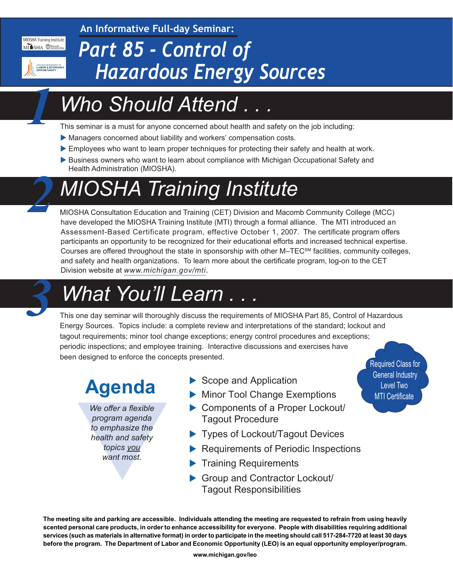**An Informative Full-day Seminar:**

MIOSHA Training Institute MISHA Macomb

MICHIGAN DEPARTMENT OF<br>LABOR & ECONOMIC<br>OPPORTUNITY

*1*

*2*

#### *Part 85 - Control of Hazardous Energy Sources*

## *Who Should Attend . . .*

This seminar is a must for anyone concerned about health and safety on the job including:

- Managers concerned about liability and workers' compensation costs.
- Employees who want to learn proper techniques for protecting their safety and health at work.
- Business owners who want to learn about compliance with Michigan Occupational Safety and Health Administration (MIOSHA).

## *MIOSHA Training Institute*

MIOSHA Consultation Education and Training (CET) Division and Macomb Community College (MCC) have developed the MIOSHA Training Institute (MTI) through a formal alliance. The MTI introduced an Assessment-Based Certificate program, effective October 1, 2007. The certificate program offers participants an opportunity to be recognized for their educational efforts and increased technical expertise. Courses are offered throughout the state in sponsorship with other M–TECSM facilities, community colleges, and safety and health organizations. To learn more about the certificate program, log-on to the CET Division website at *[www.michigan.gov/mti.](http://www.michigan.gov/mti)*



# *What You'll Learn . . . 3*

This one day seminar will thoroughly discuss the requirements of MIOSHA Part 85, Control of Hazardous Energy Sources. Topics include: a complete review and interpretations of the standard; lockout and tagout requirements; minor tool change exceptions; energy control procedures and exceptions; periodic inspections; and employee training. Interactive discussions and exercises have been designed to enforce the concepts presented.

## **Agenda**

We offer a flexible<br>program agenda<br>to emphasize the<br>health and safety<br>topics you<br>want most. *We offer a flexible program agenda to emphasize the health and safety topics you want most.*

- $\blacktriangleright$  Scope and Application
- Minor Tool Change Exemptions
- ▶ Components of a Proper Lockout/ Tagout Procedure
- $\blacktriangleright$  Types of Lockout/Tagout Devices
- **Requirements of Periodic Inspections**
- $\blacktriangleright$  Training Requirements
- Group and Contractor Lockout/ Tagout Responsibilities

**The meeting site and parking are accessible. Individuals attending the meeting are requested to refrain from using heavily scented personal care products, in order to enhance accessibility for everyone. People with disabilities requiring additional services (such as materials in alternative format) in order to participate in the meeting should call 517-284-7720 at least 30 days before the program. The Department of Labor and Economic Opportunity (LEO) is an equal opportunity employer/program.** 

Required Class for General Industry Level Two MTI Certificate